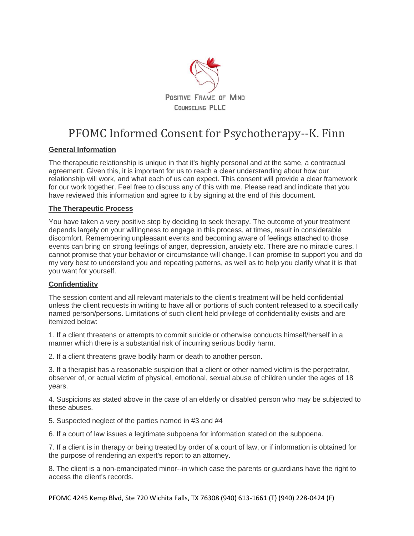

# PFOMC Informed Consent for Psychotherapy--K. Finn

## **General Information**

The therapeutic relationship is unique in that it's highly personal and at the same, a contractual agreement. Given this, it is important for us to reach a clear understanding about how our relationship will work, and what each of us can expect. This consent will provide a clear framework for our work together. Feel free to discuss any of this with me. Please read and indicate that you have reviewed this information and agree to it by signing at the end of this document.

## **The Therapeutic Process**

You have taken a very positive step by deciding to seek therapy. The outcome of your treatment depends largely on your willingness to engage in this process, at times, result in considerable discomfort. Remembering unpleasant events and becoming aware of feelings attached to those events can bring on strong feelings of anger, depression, anxiety etc. There are no miracle cures. I cannot promise that your behavior or circumstance will change. I can promise to support you and do my very best to understand you and repeating patterns, as well as to help you clarify what it is that you want for yourself.

### **Confidentiality**

The session content and all relevant materials to the client's treatment will be held confidential unless the client requests in writing to have all or portions of such content released to a specifically named person/persons. Limitations of such client held privilege of confidentiality exists and are itemized below:

1. If a client threatens or attempts to commit suicide or otherwise conducts himself/herself in a manner which there is a substantial risk of incurring serious bodily harm.

2. If a client threatens grave bodily harm or death to another person.

3. If a therapist has a reasonable suspicion that a client or other named victim is the perpetrator, observer of, or actual victim of physical, emotional, sexual abuse of children under the ages of 18 years.

4. Suspicions as stated above in the case of an elderly or disabled person who may be subjected to these abuses.

5. Suspected neglect of the parties named in #3 and #4

6. If a court of law issues a legitimate subpoena for information stated on the subpoena.

7. If a client is in therapy or being treated by order of a court of law, or if information is obtained for the purpose of rendering an expert's report to an attorney.

8. The client is a non-emancipated minor--in which case the parents or guardians have the right to access the client's records.

PFOMC 4245 Kemp Blvd, Ste 720 Wichita Falls, TX 76308 (940) 613-1661 (T) (940) 228-0424 (F)